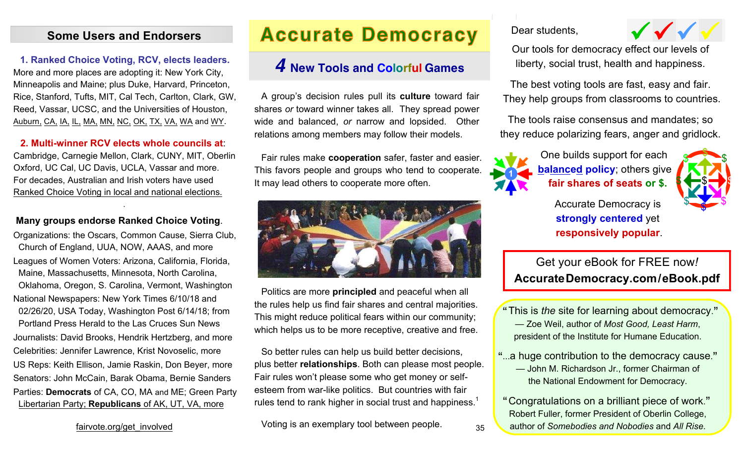### **Some Users and Endorsers**

### **1. Ranked Choice Voting, RCV, elects leaders.**

More and more places are adopting it: New York City, Minneapolis and Maine; plus Duke, Harvard, Princeton, Rice, Stanford, Tufts, MIT, Cal Tech, Carlton, Clark, GW, Reed, Vassar, UCSC, and the Universities of Houston, Auburn, CA, IA, IL, MA, MN, NC, OK, TX, VA, WA and WY.

### **2. Multi-winner RCV elects whole councils at**:

Cambridge, Carnegie Mellon, Clark, CUNY, MIT, Oberlin Oxford, UC Cal, UC Davis, UCLA, Vassar and more. For decades, Australian and Irish voters have used Ranked Choice Voting in local and national elections.

.

### **Many groups endorse Ranked Choice Voting**.

Organizations: the Oscars, Common Cause, Sierra Club, Church of England, UUA, NOW, AAAS, and more Leagues of Women Voters: Arizona, California, Florida, Maine, Massachusetts, Minnesota, North Carolina, Oklahoma, Oregon, S. Carolina, Vermont, Washington National Newspapers: New York Times 6/10/18 and 02/26/20, USA Today, Washington Post 6/14/18; from Portland Press Herald to the Las Cruces Sun News Journalists: David Brooks, Hendrik Hertzberg, and more Celebrities: Jennifer Lawrence, Krist Novoselic, more US Reps: Keith Ellison, Jamie Raskin, Don Beyer, more Senators: John McCain, Barak Obama, Bernie Sanders Parties: **Democrats** of CA, CO, MA and ME; Green Party Libertarian Party; **Republicans** of AK, UT, VA, more

## **Accurate Democracy**

### *4* **New Tools and Colorful Games**

A group's decision rules pull its **culture** toward fair shares *or* toward winner takes all. They spread power wide and balanced, *or* narrow and lopsided. Other relations among members may follow their models.

Fair rules make **cooperation** safer, faster and easier. This favors people and groups who tend to cooperate. It may lead others to cooperate more often.



Politics are more **principled** and peaceful when all the rules help us find fair shares and central majorities. This might reduce political fears within our community; which helps us to be more receptive, creative and free.

So better rules can help us build better decisions, plus better **relationships**. Both can please most people. Fair rules won't please some who get money or selfesteem from war-like politics. But countries with fair rules tend to rank higher in social trust and happiness.<sup>1</sup>

Voting is an exemplary tool between people.  $35$ 

Dear students,

Our tools for democracy effect our levels of liberty, social trust, health and happiness.

The best voting tools are fast, easy and fair. They help groups from classrooms to countries.

The tools raise consensus and mandates; so they reduce polarizing fears, anger and gridlock.



 One builds support for each **balanced policy**; others give **fair shares of seats or \$.**

> Accurate Democracy is **strongly centered** yet **responsively popular**.

### Get your eBook for FREE now*!* **AccurateDemocracy.com/eBook.pdf**

"This is *the* site for learning about democracy." — Zoe Weil, author of *Most Good, Least Harm*, president of the Institute for Humane Education.

"...a huge contribution to the democracy cause." — John M. Richardson Jr., former Chairman of the National Endowment for Democracy.

"Congratulations on a brilliant piece of work." Robert Fuller, former President of Oberlin College, author of *Somebodies and Nobodies* and *All Rise*.

fairvote.org/get\_involved



 $\frac{1}{2}$ 

\$ \$

 $\bullet \bullet \bullet \bullet$ 

 $\mathcal{F}$ 

 $\frac{1}{\sqrt{2}}$